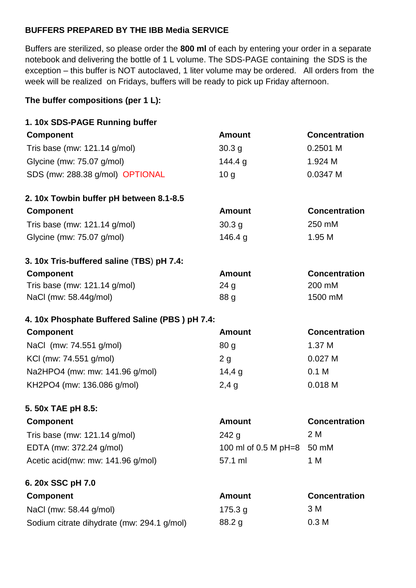## **BUFFERS PREPARED BY THE IBB Media SERVICE**

Buffers are sterilized, so please order the **800 ml** of each by entering your order in a separate notebook and delivering the bottle of 1 L volume. The SDS-PAGE containing the SDS is the exception – this buffer is NOT autoclaved, 1 liter volume may be ordered. All orders from the week will be realized on Fridays, buffers will be ready to pick up Friday afternoon.

## **The buffer compositions (per 1 L):**

| 1. 10x SDS-PAGE Running buffer                 |                      |                      |
|------------------------------------------------|----------------------|----------------------|
| <b>Component</b>                               | <b>Amount</b>        | <b>Concentration</b> |
| Tris base (mw: 121.14 g/mol)                   | 30.3 g               | 0.2501 M             |
| Glycine (mw: 75.07 g/mol)                      | 144.4 g              | 1.924 M              |
| SDS (mw: 288.38 g/mol) OPTIONAL                | 10 <sub>q</sub>      | 0.0347 M             |
| 2.10x Towbin buffer pH between 8.1-8.5         |                      |                      |
| <b>Component</b>                               | <b>Amount</b>        | <b>Concentration</b> |
| Tris base (mw: 121.14 g/mol)                   | 30.3 <sub>g</sub>    | 250 mM               |
| Glycine (mw: 75.07 g/mol)                      | 146.4 g              | 1.95 M               |
| 3. 10x Tris-buffered saline (TBS) pH 7.4:      |                      |                      |
| <b>Component</b>                               | <b>Amount</b>        | <b>Concentration</b> |
| Tris base (mw: 121.14 g/mol)                   | 24 <sub>g</sub>      | 200 mM               |
| NaCl (mw: 58.44g/mol)                          | 88 g                 | 1500 mM              |
| 4. 10x Phosphate Buffered Saline (PBS) pH 7.4: |                      |                      |
| <b>Component</b>                               | <b>Amount</b>        | <b>Concentration</b> |
| NaCl (mw: 74.551 g/mol)                        | 80 <sub>q</sub>      | 1.37 M               |
| KCI (mw: 74.551 g/mol)                         | 2g                   | 0.027M               |
| Na2HPO4 (mw: mw: 141.96 g/mol)                 | 14,4g                | 0.1 <sub>M</sub>     |
| KH2PO4 (mw: 136.086 g/mol)                     | 2,4g                 | 0.018 M              |
| 5. 50x TAE pH 8.5:                             |                      |                      |
| <b>Component</b>                               | <b>Amount</b>        | <b>Concentration</b> |
| Tris base (mw: 121.14 g/mol)                   | 242g                 | 2 M                  |
| EDTA (mw: 372.24 g/mol)                        | 100 ml of 0.5 M pH=8 | 50 mM                |
| Acetic acid(mw: mw: 141.96 g/mol)              | 57.1 ml              | 1 M                  |
| 6. 20x SSC pH 7.0                              |                      |                      |
| <b>Component</b>                               | <b>Amount</b>        | <b>Concentration</b> |
|                                                |                      |                      |
| NaCl (mw: 58.44 g/mol)                         | 175.3 g              | 3 M                  |